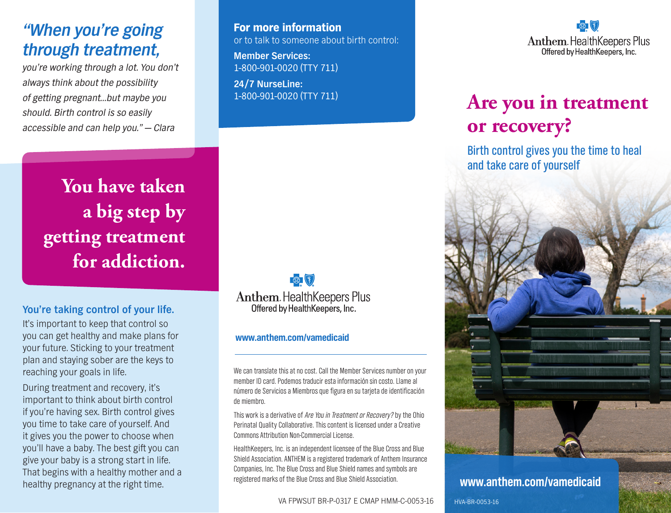## *"When you're going through treatment,*

*you're working through a lot. You don't always think about the possibility of getting pregnant…but maybe you should. Birth control is so easily accessible and can help you." — Clara*

For more information or to talk to someone about birth control:

**Member Services:** 1-800-901-0020 (TTY 711)

**24/7 NurseLine:** 1-800-901-0020 (TTY 711)

**You have taken a big step by getting treatment for addiction.** 

#### **You're taking control of your life.**

It's important to keep that control so you can get healthy and make plans for your future. Sticking to your treatment plan and staying sober are the keys to reaching your goals in life.

During treatment and recovery, it's important to think about birth control if you're having sex. Birth control gives you time to take care of yourself. And it gives you the power to choose when you'll have a baby. The best gift you can give your baby is a strong start in life. That begins with a healthy mother and a healthy pregnancy at the right time.

■ 图 **Anthem. Health Keepers Plus** Offered by HealthKeepers, Inc.

#### **[www.anthem.com/vamedicaid](http://www.anthem.com/vamedicaid)**

We can translate this at no cost. Call the Member Services number on your member ID card. Podemos traducir esta información sin costo. Llame al número de Servicios a Miembros que figura en su tarjeta de identificación de miembro.

This work is a derivative of Are You in Treatment or Recovery? by the Ohio Perinatal Quality Collaborative. This content is licensed under a Creative Commons Attribution Non-Commercial License.

HealthKeepers, Inc. is an independent licensee of the Blue Cross and Blue Shield Association. ANTHEM is a registered trademark of Anthem Insurance Companies, Inc. The Blue Cross and Blue Shield names and symbols are registered marks of the Blue Cross and Blue Shield Association. **[www.anthem.com/vamedicaid](http://www.anthem.com/vamedicaid)**

VA FPWSUT BR-P-0317 E CMAP HMM-C-0053-16

 $\mathbb{R}$ **Anthem. Health Keepers Plus** Offered by HealthKeepers, Inc.

# **Are you in treatment or recovery?**

Birth control gives you the time to heal and take care of yourself